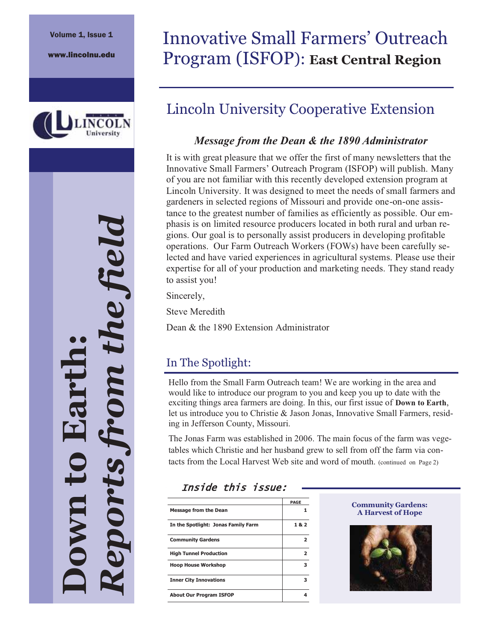

# *Reports from the field*  re field **Down to Earth:**  DOT-tS

# Innovative Small Farmers' Outreach Program (ISFOP): **East Central Region**

## Lincoln University Cooperative Extension

#### *Message from the Dean & the 1890 Administrator*

It is with great pleasure that we offer the first of many newsletters that the Innovative Small Farmers' Outreach Program (ISFOP) will publish. Many of you are not familiar with this recently developed extension program at Lincoln University. It was designed to meet the needs of small farmers and gardeners in selected regions of Missouri and provide one-on-one assistance to the greatest number of families as efficiently as possible. Our emphasis is on limited resource producers located in both rural and urban regions. Our goal is to personally assist producers in developing profitable operations. Our Farm Outreach Workers (FOWs) have been carefully selected and have varied experiences in agricultural systems. Please use their expertise for all of your production and marketing needs. They stand ready to assist you!

Sincerely,

Steve Meredith

Dean & the 1890 Extension Administrator

#### In The Spotlight:

Hello from the Small Farm Outreach team! We are working in the area and would like to introduce our program to you and keep you up to date with the exciting things area farmers are doing. In this, our first issue of **Down to Earth**, let us introduce you to Christie & Jason Jonas, Innovative Small Farmers, residing in Jefferson County, Missouri.

The Jonas Farm was established in 2006. The main focus of the farm was vegetables which Christie and her husband grew to sell from off the farm via contacts from the Local Harvest Web site and word of mouth. (continued on Page 2)

#### Inside this issue:

|                                     | PAGE |
|-------------------------------------|------|
| <b>Message from the Dean</b>        |      |
| In the Spotlight: Jonas Family Farm | 1&2  |
| <b>Community Gardens</b>            |      |
| <b>High Tunnel Production</b>       | 2    |
| <b>Hoop House Workshop</b>          | з    |
| <b>Inner City Innovations</b>       | з    |
| <b>About Our Program ISFOP</b>      |      |



 $\overline{\phantom{a}}$ 

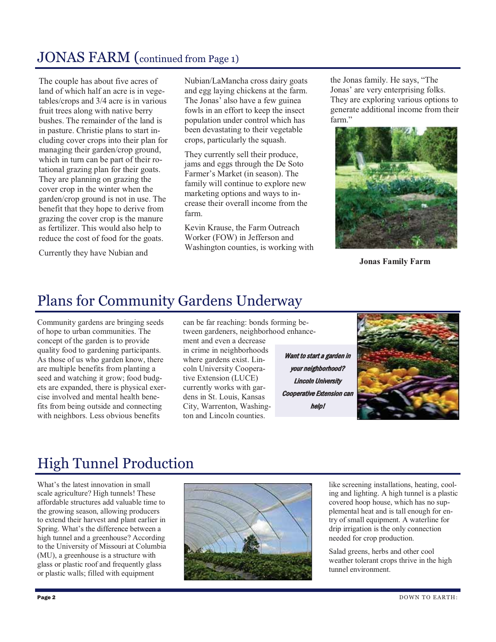#### JONAS FARM (continued from Page 1)

The couple has about five acres of land of which half an acre is in vegetables/crops and 3/4 acre is in various fruit trees along with native berry bushes. The remainder of the land is in pasture. Christie plans to start including cover crops into their plan for managing their garden/crop ground, which in turn can be part of their rotational grazing plan for their goats. They are planning on grazing the cover crop in the winter when the garden/crop ground is not in use. The benefit that they hope to derive from grazing the cover crop is the manure as fertilizer. This would also help to reduce the cost of food for the goats.

Currently they have Nubian and

Nubian/LaMancha cross dairy goats and egg laying chickens at the farm. The Jonas' also have a few guinea fowls in an effort to keep the insect population under control which has been devastating to their vegetable crops, particularly the squash.

They currently sell their produce, jams and eggs through the De Soto Farmer's Market (in season). The family will continue to explore new marketing options and ways to increase their overall income from the farm.

Kevin Krause, the Farm Outreach Worker (FOW) in Jefferson and Washington counties, is working with the Jonas family. He says, "The Jonas' are very enterprising folks. They are exploring various options to generate additional income from their farm."



**Jonas Family Farm**

#### Plans for Community Gardens Underway

Community gardens are bringing seeds of hope to urban communities. The concept of the garden is to provide quality food to gardening participants. As those of us who garden know, there are multiple benefits from planting a seed and watching it grow; food budgets are expanded, there is physical exercise involved and mental health benefits from being outside and connecting with neighbors. Less obvious benefits

can be far reaching: bonds forming between gardeners, neighborhood enhancement and even a decrease

in crime in neighborhoods where gardens exist. Lincoln University Cooperative Extension (LUCE) currently works with gardens in St. Louis, Kansas City, Warrenton, Washington and Lincoln counties.

Want to start a garden in your neighborhood? Lincoln University Cooperative Extension can help!



# High Tunnel Production

What's the latest innovation in small scale agriculture? High tunnels! These affordable structures add valuable time to the growing season, allowing producers to extend their harvest and plant earlier in Spring. What's the difference between a high tunnel and a greenhouse? According to the University of Missouri at Columbia (MU), a greenhouse is a structure with glass or plastic roof and frequently glass or plastic walls; filled with equipment



like screening installations, heating, cooling and lighting. A high tunnel is a plastic covered hoop house, which has no supplemental heat and is tall enough for entry of small equipment. A waterline for drip irrigation is the only connection needed for crop production.

Salad greens, herbs and other cool weather tolerant crops thrive in the high tunnel environment.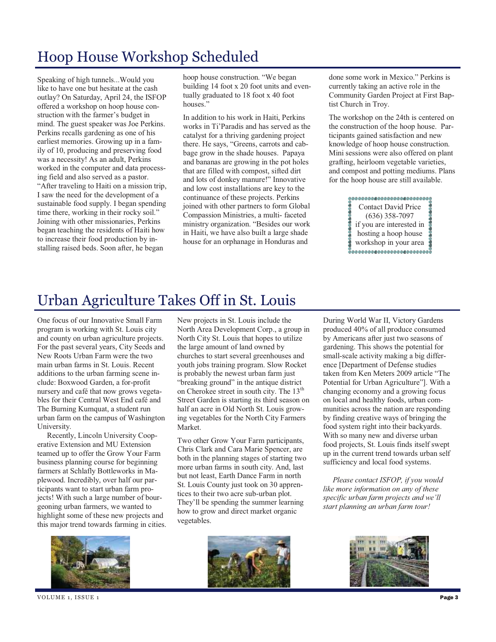# Hoop House Workshop Scheduled

Speaking of high tunnels...Would you like to have one but hesitate at the cash outlay? On Saturday, April 24, the ISFOP offered a workshop on hoop house construction with the farmer's budget in mind. The guest speaker was Joe Perkins. Perkins recalls gardening as one of his earliest memories. Growing up in a family of 10, producing and preserving food was a necessity! As an adult, Perkins worked in the computer and data processing field and also served as a pastor. "After traveling to Haiti on a mission trip, I saw the need for the development of a sustainable food supply. I began spending time there, working in their rocky soil." Joining with other missionaries, Perkins began teaching the residents of Haiti how to increase their food production by installing raised beds. Soon after, he began

hoop house construction. "We began building 14 foot x 20 foot units and eventually graduated to 18 foot x 40 foot houses."

In addition to his work in Haiti, Perkins works in Ti'Paradis and has served as the catalyst for a thriving gardening project there. He says, "Greens, carrots and cabbage grow in the shade houses. Papaya and bananas are growing in the pot holes that are filled with compost, sifted dirt and lots of donkey manure!" Innovative and low cost installations are key to the continuance of these projects. Perkins joined with other partners to form Global Compassion Ministries, a multi- faceted ministry organization. "Besides our work in Haiti, we have also built a large shade house for an orphanage in Honduras and

done some work in Mexico." Perkins is currently taking an active role in the Community Garden Project at First Baptist Church in Troy.

The workshop on the 24th is centered on the construction of the hoop house. Participants gained satisfaction and new knowledge of hoop house construction. Mini sessions were also offered on plant grafting, heirloom vegetable varieties, and compost and potting mediums. Plans for the hoop house are still available.

> 1000000000000000000000000 Contact David Price (636) 358-7097 if you are interested in hosting a hoop house workshop in your area

## Urban Agriculture Takes Off in St. Louis

One focus of our Innovative Small Farm program is working with St. Louis city and county on urban agriculture projects. For the past several years, City Seeds and New Roots Urban Farm were the two main urban farms in St. Louis. Recent additions to the urban farming scene include: Boxwood Garden, a for-profit nursery and café that now grows vegetables for their Central West End café and The Burning Kumquat, a student run urban farm on the campus of Washington University.

 Recently, Lincoln University Cooperative Extension and MU Extension teamed up to offer the Grow Your Farm business planning course for beginning farmers at Schlafly Bottleworks in Maplewood. Incredibly, over half our participants want to start urban farm projects! With such a large number of bourgeoning urban farmers, we wanted to highlight some of these new projects and this major trend towards farming in cities. New projects in St. Louis include the North Area Development Corp., a group in North City St. Louis that hopes to utilize the large amount of land owned by churches to start several greenhouses and youth jobs training program. Slow Rocket is probably the newest urban farm just "breaking ground" in the antique district on Cherokee street in south city. The 13<sup>th</sup> Street Garden is starting its third season on half an acre in Old North St. Louis growing vegetables for the North City Farmers Market.

Two other Grow Your Farm participants, Chris Clark and Cara Marie Spencer, are both in the planning stages of starting two more urban farms in south city. And, last but not least, Earth Dance Farm in north St. Louis County just took on 30 apprentices to their two acre sub-urban plot. They'll be spending the summer learning how to grow and direct market organic vegetables.

During World War II, Victory Gardens produced 40% of all produce consumed by Americans after just two seasons of gardening. This shows the potential for small-scale activity making a big difference [Department of Defense studies taken from Ken Meters 2009 article "The Potential for Urban Agriculture"]. With a changing economy and a growing focus on local and healthy foods, urban communities across the nation are responding by finding creative ways of bringing the food system right into their backyards. With so many new and diverse urban food projects, St. Louis finds itself swept up in the current trend towards urban self sufficiency and local food systems.

 *Please contact ISFOP, if you would like more information on any of these specific urban farm projects and we'll start planning an urban farm tour!*